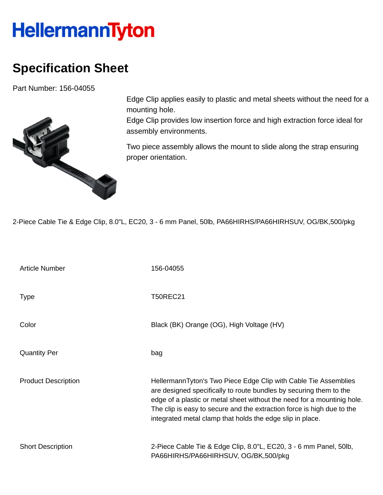## **HellermannTyton**

## **Specification Sheet**

Part Number: 156-04055



Edge Clip applies easily to plastic and metal sheets without the need for a mounting hole.

Edge Clip provides low insertion force and high extraction force ideal for assembly environments.

Two piece assembly allows the mount to slide along the strap ensuring proper orientation.

2-Piece Cable Tie & Edge Clip, 8.0"L, EC20, 3 - 6 mm Panel, 50lb, PA66HIRHS/PA66HIRHSUV, OG/BK,500/pkg

| <b>Article Number</b>      | 156-04055                                                                                                                                                                                                                                                                                                                                               |
|----------------------------|---------------------------------------------------------------------------------------------------------------------------------------------------------------------------------------------------------------------------------------------------------------------------------------------------------------------------------------------------------|
| <b>Type</b>                | <b>T50REC21</b>                                                                                                                                                                                                                                                                                                                                         |
| Color                      | Black (BK) Orange (OG), High Voltage (HV)                                                                                                                                                                                                                                                                                                               |
| <b>Quantity Per</b>        | bag                                                                                                                                                                                                                                                                                                                                                     |
| <b>Product Description</b> | HellermannTyton's Two Piece Edge Clip with Cable Tie Assemblies<br>are designed specifically to route bundles by securing them to the<br>edge of a plastic or metal sheet without the need for a mountinig hole.<br>The clip is easy to secure and the extraction force is high due to the<br>integrated metal clamp that holds the edge slip in place. |
| <b>Short Description</b>   | 2-Piece Cable Tie & Edge Clip, 8.0"L, EC20, 3 - 6 mm Panel, 50lb,<br>PA66HIRHS/PA66HIRHSUV, OG/BK,500/pkg                                                                                                                                                                                                                                               |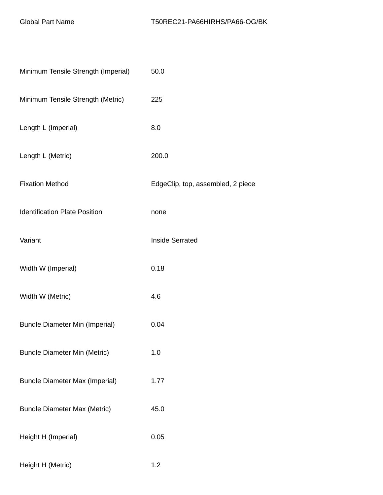| Minimum Tensile Strength (Imperial)   | 50.0                              |
|---------------------------------------|-----------------------------------|
| Minimum Tensile Strength (Metric)     | 225                               |
| Length L (Imperial)                   | 8.0                               |
| Length L (Metric)                     | 200.0                             |
| <b>Fixation Method</b>                | EdgeClip, top, assembled, 2 piece |
| <b>Identification Plate Position</b>  | none                              |
| Variant                               | <b>Inside Serrated</b>            |
| Width W (Imperial)                    | 0.18                              |
| Width W (Metric)                      | 4.6                               |
| <b>Bundle Diameter Min (Imperial)</b> | 0.04                              |
| <b>Bundle Diameter Min (Metric)</b>   | 1.0                               |
| <b>Bundle Diameter Max (Imperial)</b> | 1.77                              |
| <b>Bundle Diameter Max (Metric)</b>   | 45.0                              |
| Height H (Imperial)                   | 0.05                              |
| Height H (Metric)                     | 1.2                               |